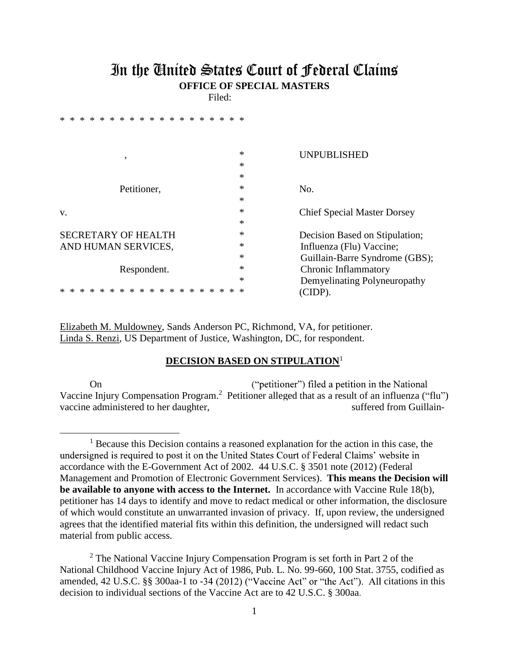## In the United States Court of Federal Claims **OFFICE OF SPECIAL MASTERS**

Filed:

| $\ast$<br>$*$<br>$*$<br>$*$<br>$\ast$<br>$\ast$<br>$*$<br>$\ast$<br>*<br>* * |                                         |
|------------------------------------------------------------------------------|-----------------------------------------|
|                                                                              | ∗                                       |
| ,                                                                            | <b>UNPUBLISHED</b><br>$\ast$            |
|                                                                              | *                                       |
| Petitioner,                                                                  | *<br>No.                                |
|                                                                              | *                                       |
| V.                                                                           | *<br><b>Chief Special Master Dorsey</b> |
|                                                                              | *                                       |
| <b>SECRETARY OF HEALTH</b>                                                   | *<br>Decision Based on Stipulation;     |
| AND HUMAN SERVICES,                                                          | *<br>Influenza (Flu) Vaccine;           |
|                                                                              | *<br>Guillain-Barre Syndrome (GBS);     |
| Respondent.                                                                  | *<br>Chronic Inflammatory               |
|                                                                              | ∗<br>Demyelinating Polyneuropathy       |
|                                                                              | (CIDP).<br>∗                            |

Elizabeth M. Muldowney, Sands Anderson PC, Richmond, VA, for petitioner. Linda S. Renzi, US Department of Justice, Washington, DC, for respondent.

## **DECISION BASED ON STIPULATION**<sup>1</sup>

On ("petitioner") filed a petition in the National Vaccine Injury Compensation Program.<sup>2</sup> Petitioner alleged that as a result of an influenza ("flu") vaccine administered to her daughter, suffered from Guillain-

<sup>&</sup>lt;sup>1</sup> Because this Decision contains a reasoned explanation for the action in this case, the undersigned is required to post it on the United States Court of Federal Claims' website in accordance with the E-Government Act of 2002. 44 U.S.C. § 3501 note (2012) (Federal Management and Promotion of Electronic Government Services). **This means the Decision will be available to anyone with access to the Internet.** In accordance with Vaccine Rule 18(b), petitioner has 14 days to identify and move to redact medical or other information, the disclosure of which would constitute an unwarranted invasion of privacy. If, upon review, the undersigned agrees that the identified material fits within this definition, the undersigned will redact such material from public access.

<sup>&</sup>lt;sup>2</sup> The National Vaccine Injury Compensation Program is set forth in Part 2 of the National Childhood Vaccine Injury Act of 1986, Pub. L. No. 99-660, 100 Stat. 3755, codified as amended, 42 U.S.C.  $\S$ § 300aa-1 to -34 (2012) ("Vaccine Act" or "the Act"). All citations in this decision to individual sections of the Vaccine Act are to 42 U.S.C. § 300aa.